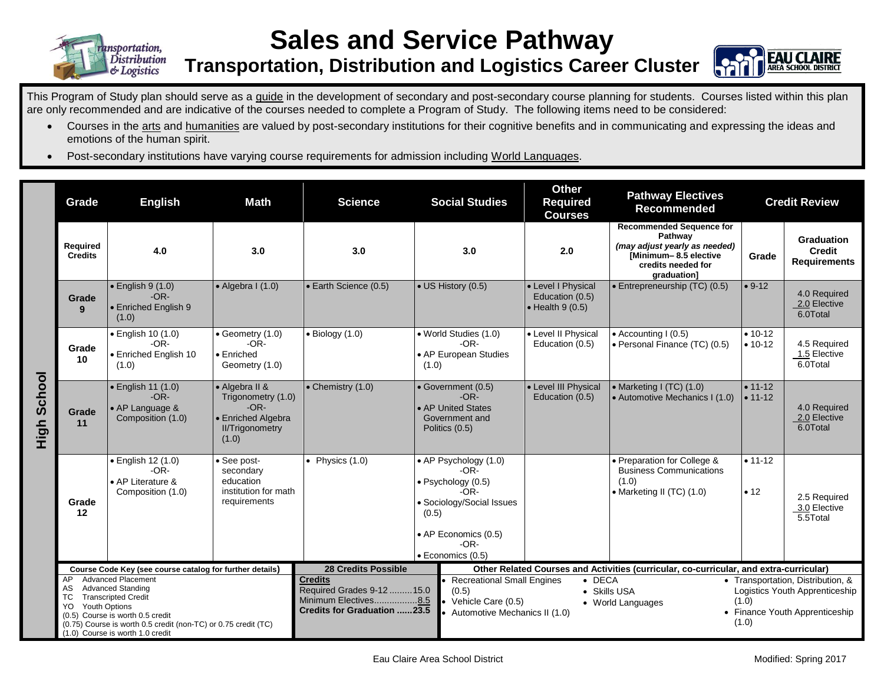

## **Sales and Service Pathway**

**Transportation, Distribution and Logistics Career Cluster**



This Program of Study plan should serve as a guide in the development of secondary and post-secondary course planning for students. Courses listed within this plan are only recommended and are indicative of the courses needed to complete a Program of Study. The following items need to be considered:

- Courses in the arts and humanities are valued by post-secondary institutions for their cognitive benefits and in communicating and expressing the ideas and emotions of the human spirit.
- Post-secondary institutions have varying course requirements for admission including World Languages.

|                    | Grade                                                                                                                                                                                                                                       | <b>English</b>                                                         | Math                                                                                                    | <b>Science</b>                                                                                                                                                                                | <b>Social Studies</b>                                                                                                                                  | <b>Other</b><br><b>Pathway Electives</b><br><b>Required</b><br><b>Recommended</b><br><b>Courses</b> |                                                                                                                                           | <b>Credit Review</b>       |                                                                                                       |  |
|--------------------|---------------------------------------------------------------------------------------------------------------------------------------------------------------------------------------------------------------------------------------------|------------------------------------------------------------------------|---------------------------------------------------------------------------------------------------------|-----------------------------------------------------------------------------------------------------------------------------------------------------------------------------------------------|--------------------------------------------------------------------------------------------------------------------------------------------------------|-----------------------------------------------------------------------------------------------------|-------------------------------------------------------------------------------------------------------------------------------------------|----------------------------|-------------------------------------------------------------------------------------------------------|--|
| <b>High School</b> | Required<br><b>Credits</b>                                                                                                                                                                                                                  | 4.0                                                                    | 3.0                                                                                                     | 3.0                                                                                                                                                                                           | 3.0                                                                                                                                                    | 2.0                                                                                                 | <b>Recommended Sequence for</b><br>Pathway<br>(may adjust yearly as needed)<br>[Minimum-8.5 elective<br>credits needed for<br>graduation] | Grade                      | <b>Graduation</b><br><b>Credit</b><br><b>Requirements</b>                                             |  |
|                    | Grade<br>9                                                                                                                                                                                                                                  | $\bullet$ English 9 (1.0)<br>$-OR-$<br>• Enriched English 9<br>(1.0)   | $\bullet$ Algebra I (1.0)                                                                               | • Earth Science (0.5)                                                                                                                                                                         | • US History (0.5)                                                                                                                                     | • Level I Physical<br>Education (0.5)<br>$\bullet$ Health 9 (0.5)                                   | $\bullet$ Entrepreneurship (TC) (0.5)                                                                                                     | $• 9-12$                   | 4.0 Required<br>2.0 Elective<br>6.0Total                                                              |  |
|                    | Grade<br>10                                                                                                                                                                                                                                 | · English 10 (1.0)<br>$-OR-$<br>• Enriched English 10<br>(1.0)         | • Geometry (1.0)<br>$-OR-$<br>• Enriched<br>Geometry (1.0)                                              | $\bullet$ Biology (1.0)                                                                                                                                                                       | · World Studies (1.0)<br>$-OR-$<br>• AP European Studies<br>(1.0)                                                                                      | • Level II Physical<br>Education (0.5)                                                              | • Accounting I (0.5)<br>• Personal Finance (TC) (0.5)                                                                                     | $• 10 - 12$<br>$• 10-12$   | 4.5 Required<br>1.5 Elective<br>6.0Total                                                              |  |
|                    | Grade<br>11                                                                                                                                                                                                                                 | · English 11 (1.0)<br>$-OR-$<br>• AP Language &<br>Composition (1.0)   | • Algebra II &<br>Trigonometry (1.0)<br>$-OR-$<br>• Enriched Algebra<br><b>II/Trigonometry</b><br>(1.0) | • Chemistry (1.0)                                                                                                                                                                             | • Government (0.5)<br>$-OR-$<br>• AP United States<br>Government and<br>Politics (0.5)                                                                 | • Level III Physical<br>Education (0.5)                                                             | • Marketing I (TC) (1.0)<br>• Automotive Mechanics I (1.0)                                                                                | $• 11 - 12$<br>$• 11 - 12$ | 4.0 Required<br>2.0 Elective<br>6.0Total                                                              |  |
|                    | Grade<br>12                                                                                                                                                                                                                                 | · English 12 (1.0)<br>$-OR-$<br>• AP Literature &<br>Composition (1.0) | See post-<br>secondary<br>education<br>institution for math<br>requirements                             | • Physics $(1.0)$                                                                                                                                                                             | • AP Psychology (1.0)<br>-OR-<br>· Psychology (0.5)<br>-OR-<br>• Sociology/Social Issues<br>(0.5)<br>• AP Economics (0.5)<br>-OR-<br>· Economics (0.5) |                                                                                                     | • Preparation for College &<br><b>Business Communications</b><br>(1.0)<br>• Marketing II (TC) (1.0)                                       | $• 11 - 12$<br>• 12        | 2.5 Required<br>3.0 Elective<br>5.5Total                                                              |  |
|                    | Course Code Key (see course catalog for further details)<br><b>Advanced Placement</b><br>AP                                                                                                                                                 |                                                                        |                                                                                                         | <b>28 Credits Possible</b><br><b>Credits</b>                                                                                                                                                  |                                                                                                                                                        | Other Related Courses and Activities (curricular, co-curricular, and extra-curricular)              |                                                                                                                                           |                            |                                                                                                       |  |
|                    | <b>Advanced Standing</b><br>AS<br><b>Transcripted Credit</b><br>ТC<br><b>Youth Options</b><br>YO.<br>(0.5) Course is worth 0.5 credit<br>(0.75) Course is worth 0.5 credit (non-TC) or 0.75 credit (TC)<br>(1.0) Course is worth 1.0 credit |                                                                        |                                                                                                         | <b>Recreational Small Engines</b><br>Required Grades 9-12  15.0<br>(0.5)<br>Minimum Electives8.5<br>Vehicle Care (0.5)<br><b>Credits for Graduation 23.5</b><br>Automotive Mechanics II (1.0) |                                                                                                                                                        |                                                                                                     | $\bullet$ DECA<br>• Skills USA<br>(1.0)<br>• World Languages<br>(1.0)                                                                     |                            | • Transportation, Distribution, &<br>Logistics Youth Apprenticeship<br>• Finance Youth Apprenticeship |  |